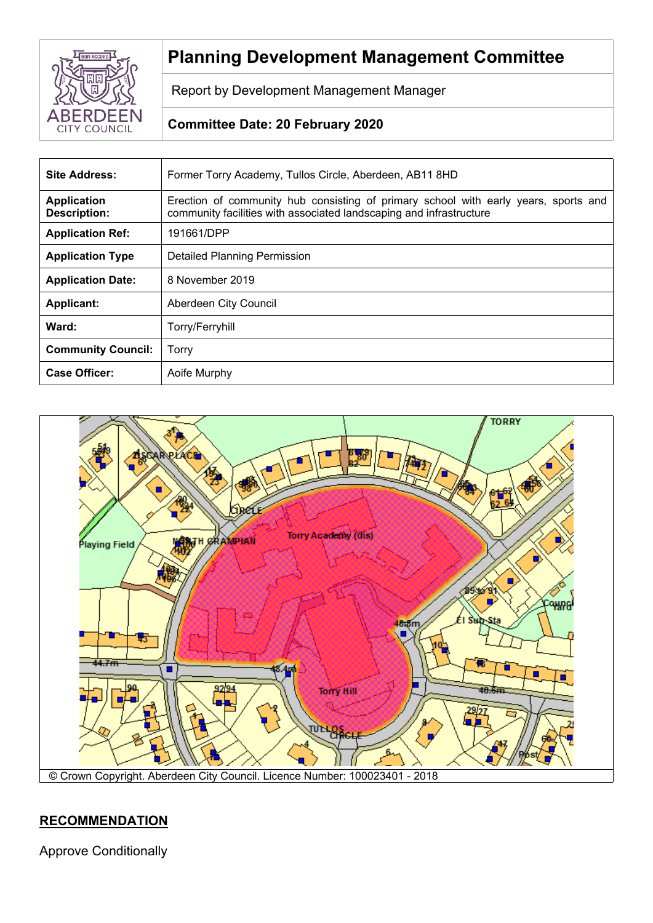

# **Planning Development Management Committee**

Report by Development Management Manager

# **Committee Date: 20 February 2020**

| <b>Site Address:</b>                      | Former Torry Academy, Tullos Circle, Aberdeen, AB11 8HD                                                                                                    |  |
|-------------------------------------------|------------------------------------------------------------------------------------------------------------------------------------------------------------|--|
| <b>Application</b><br><b>Description:</b> | Erection of community hub consisting of primary school with early years, sports and<br>community facilities with associated landscaping and infrastructure |  |
| <b>Application Ref:</b>                   | 191661/DPP                                                                                                                                                 |  |
| <b>Application Type</b>                   | Detailed Planning Permission                                                                                                                               |  |
| <b>Application Date:</b>                  | 8 November 2019                                                                                                                                            |  |
| <b>Applicant:</b>                         | Aberdeen City Council                                                                                                                                      |  |
| Ward:                                     | Torry/Ferryhill                                                                                                                                            |  |
| <b>Community Council:</b>                 | Torry                                                                                                                                                      |  |
| <b>Case Officer:</b>                      | Aoife Murphy                                                                                                                                               |  |



# **RECOMMENDATION**

Approve Conditionally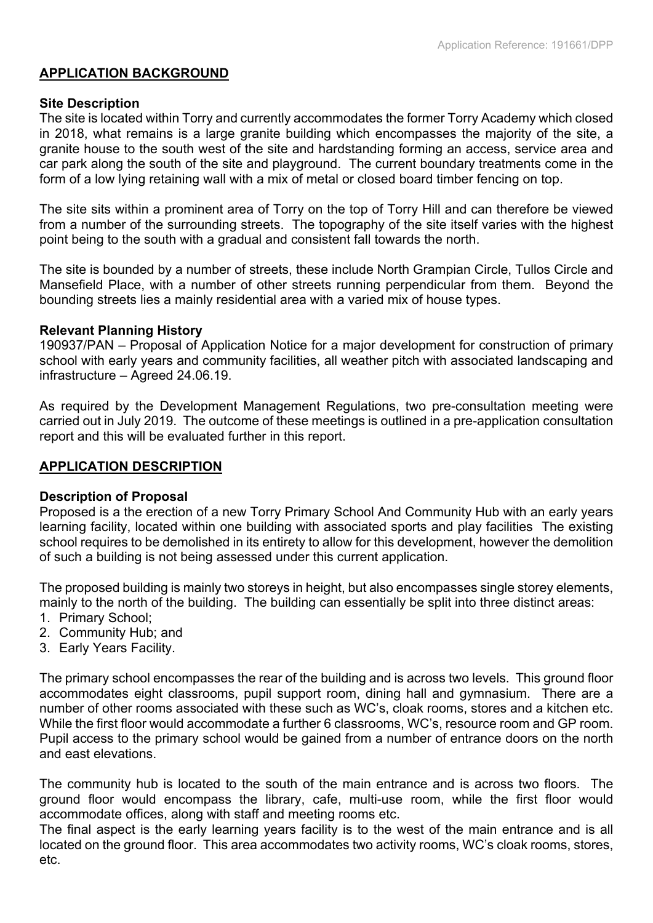## **APPLICATION BACKGROUND**

#### **Site Description**

The site is located within Torry and currently accommodates the former Torry Academy which closed in 2018, what remains is a large granite building which encompasses the majority of the site, a granite house to the south west of the site and hardstanding forming an access, service area and car park along the south of the site and playground. The current boundary treatments come in the form of a low lying retaining wall with a mix of metal or closed board timber fencing on top.

The site sits within a prominent area of Torry on the top of Torry Hill and can therefore be viewed from a number of the surrounding streets. The topography of the site itself varies with the highest point being to the south with a gradual and consistent fall towards the north.

The site is bounded by a number of streets, these include North Grampian Circle, Tullos Circle and Mansefield Place, with a number of other streets running perpendicular from them. Beyond the bounding streets lies a mainly residential area with a varied mix of house types.

#### **Relevant Planning History**

190937/PAN – Proposal of Application Notice for a major development for construction of primary school with early years and community facilities, all weather pitch with associated landscaping and infrastructure – Agreed 24.06.19.

As required by the Development Management Regulations, two pre-consultation meeting were carried out in July 2019. The outcome of these meetings is outlined in a pre-application consultation report and this will be evaluated further in this report.

## **APPLICATION DESCRIPTION**

#### **Description of Proposal**

Proposed is a the erection of a new Torry Primary School And Community Hub with an early years learning facility, located within one building with associated sports and play facilities The existing school requires to be demolished in its entirety to allow for this development, however the demolition of such a building is not being assessed under this current application.

The proposed building is mainly two storeys in height, but also encompasses single storey elements, mainly to the north of the building. The building can essentially be split into three distinct areas:

- 1. Primary School;
- 2. Community Hub; and
- 3. Early Years Facility.

The primary school encompasses the rear of the building and is across two levels. This ground floor accommodates eight classrooms, pupil support room, dining hall and gymnasium. There are a number of other rooms associated with these such as WC's, cloak rooms, stores and a kitchen etc. While the first floor would accommodate a further 6 classrooms, WC's, resource room and GP room. Pupil access to the primary school would be gained from a number of entrance doors on the north and east elevations.

The community hub is located to the south of the main entrance and is across two floors. The ground floor would encompass the library, cafe, multi-use room, while the first floor would accommodate offices, along with staff and meeting rooms etc.

The final aspect is the early learning years facility is to the west of the main entrance and is all located on the ground floor. This area accommodates two activity rooms, WC's cloak rooms, stores, etc.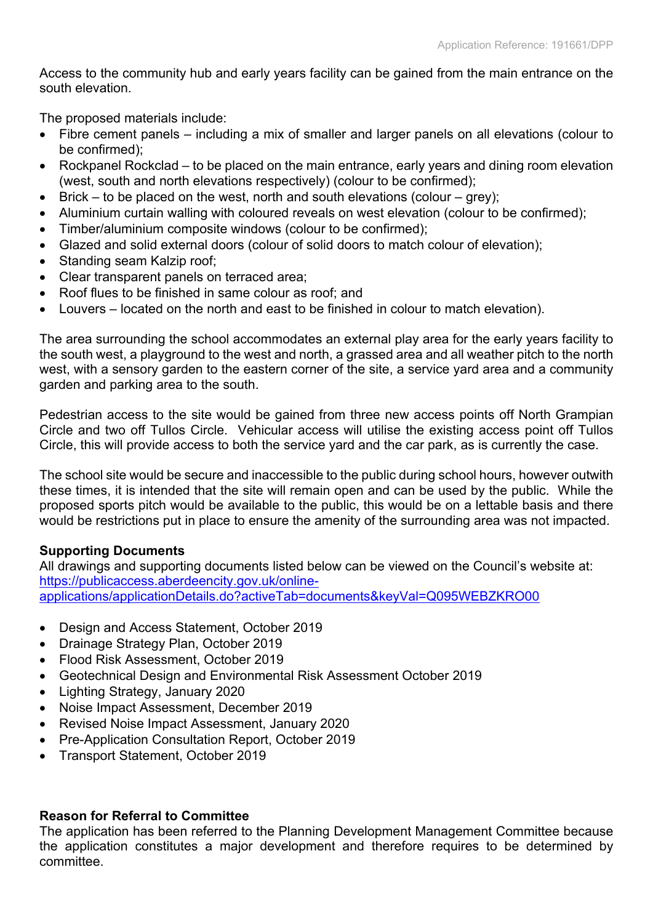Access to the community hub and early years facility can be gained from the main entrance on the south elevation.

The proposed materials include:

- Fibre cement panels including a mix of smaller and larger panels on all elevations (colour to be confirmed);
- Rockpanel Rockclad to be placed on the main entrance, early years and dining room elevation (west, south and north elevations respectively) (colour to be confirmed);
- Brick to be placed on the west, north and south elevations (colour grey);
- Aluminium curtain walling with coloured reveals on west elevation (colour to be confirmed);
- Timber/aluminium composite windows (colour to be confirmed);
- Glazed and solid external doors (colour of solid doors to match colour of elevation);
- Standing seam Kalzip roof;
- Clear transparent panels on terraced area;
- Roof flues to be finished in same colour as roof; and
- Louvers located on the north and east to be finished in colour to match elevation).

The area surrounding the school accommodates an external play area for the early years facility to the south west, a playground to the west and north, a grassed area and all weather pitch to the north west, with a sensory garden to the eastern corner of the site, a service yard area and a community garden and parking area to the south.

Pedestrian access to the site would be gained from three new access points off North Grampian Circle and two off Tullos Circle. Vehicular access will utilise the existing access point off Tullos Circle, this will provide access to both the service yard and the car park, as is currently the case.

The school site would be secure and inaccessible to the public during school hours, however outwith these times, it is intended that the site will remain open and can be used by the public. While the proposed sports pitch would be available to the public, this would be on a lettable basis and there would be restrictions put in place to ensure the amenity of the surrounding area was not impacted.

## **Supporting Documents**

All drawings and supporting documents listed below can be viewed on the Council's website at: [https://publicaccess.aberdeencity.gov.uk/online](https://publicaccess.aberdeencity.gov.uk/online-applications/applicationDetails.do?activeTab=documents&keyVal=Q095WEBZKRO00)[applications/applicationDetails.do?activeTab=documents&keyVal=Q095WEBZKRO00](https://publicaccess.aberdeencity.gov.uk/online-applications/applicationDetails.do?activeTab=documents&keyVal=Q095WEBZKRO00)

- Design and Access Statement, October 2019
- Drainage Strategy Plan, October 2019
- Flood Risk Assessment, October 2019
- Geotechnical Design and Environmental Risk Assessment October 2019
- Lighting Strategy, January 2020
- Noise Impact Assessment, December 2019
- Revised Noise Impact Assessment, January 2020
- Pre-Application Consultation Report, October 2019
- Transport Statement, October 2019

#### **Reason for Referral to Committee**

The application has been referred to the Planning Development Management Committee because the application constitutes a major development and therefore requires to be determined by committee.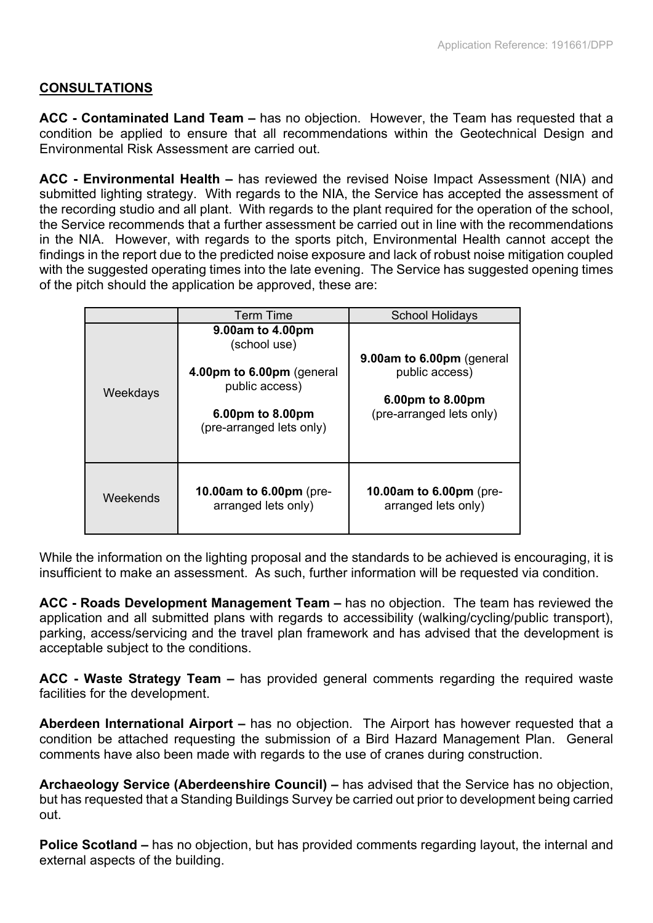# **CONSULTATIONS**

**ACC - Contaminated Land Team –** has no objection. However, the Team has requested that a condition be applied to ensure that all recommendations within the Geotechnical Design and Environmental Risk Assessment are carried out.

**ACC - Environmental Health –** has reviewed the revised Noise Impact Assessment (NIA) and submitted lighting strategy. With regards to the NIA, the Service has accepted the assessment of the recording studio and all plant. With regards to the plant required for the operation of the school, the Service recommends that a further assessment be carried out in line with the recommendations in the NIA. However, with regards to the sports pitch, Environmental Health cannot accept the findings in the report due to the predicted noise exposure and lack of robust noise mitigation coupled with the suggested operating times into the late evening. The Service has suggested opening times of the pitch should the application be approved, these are:

|          | Term Time                                                                                                                       | <b>School Holidays</b>                                                                      |
|----------|---------------------------------------------------------------------------------------------------------------------------------|---------------------------------------------------------------------------------------------|
| Weekdays | 9.00am to 4.00pm<br>(school use)<br>4.00pm to 6.00pm (general<br>public access)<br>6.00pm to 8.00pm<br>(pre-arranged lets only) | 9.00am to 6.00pm (general<br>public access)<br>6.00pm to 8.00pm<br>(pre-arranged lets only) |
| Weekends | <b>10.00am to 6.00pm</b> (pre-<br>arranged lets only)                                                                           | <b>10.00am to 6.00pm</b> (pre-<br>arranged lets only)                                       |

While the information on the lighting proposal and the standards to be achieved is encouraging, it is insufficient to make an assessment. As such, further information will be requested via condition.

**ACC - Roads Development Management Team –** has no objection. The team has reviewed the application and all submitted plans with regards to accessibility (walking/cycling/public transport), parking, access/servicing and the travel plan framework and has advised that the development is acceptable subject to the conditions.

**ACC - Waste Strategy Team –** has provided general comments regarding the required waste facilities for the development.

**Aberdeen International Airport –** has no objection. The Airport has however requested that a condition be attached requesting the submission of a Bird Hazard Management Plan. General comments have also been made with regards to the use of cranes during construction.

**Archaeology Service (Aberdeenshire Council) –** has advised that the Service has no objection, but has requested that a Standing Buildings Survey be carried out prior to development being carried out.

**Police Scotland –** has no objection, but has provided comments regarding layout, the internal and external aspects of the building.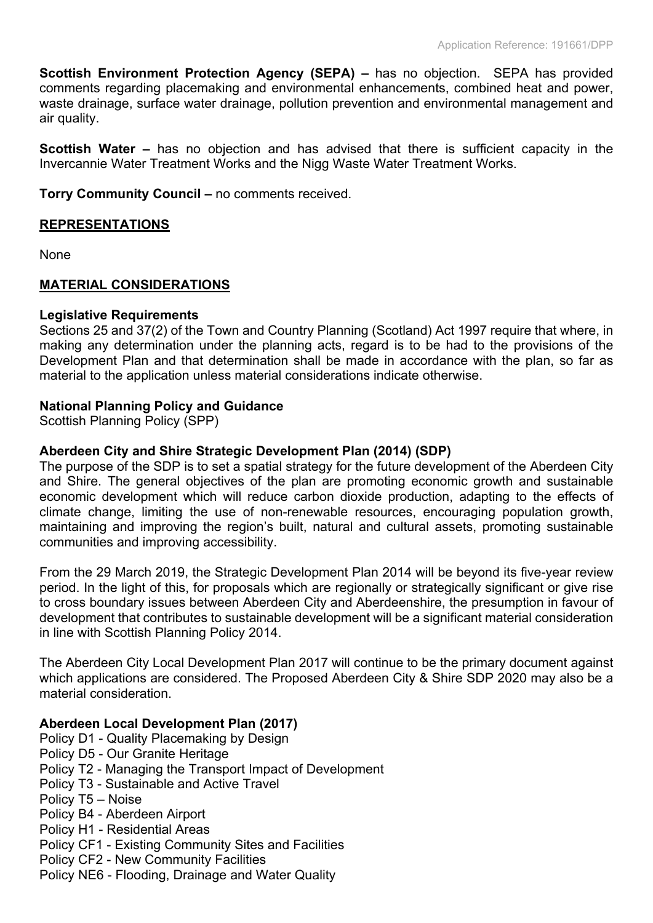**Scottish Environment Protection Agency (SEPA) –** has no objection. SEPA has provided comments regarding placemaking and environmental enhancements, combined heat and power, waste drainage, surface water drainage, pollution prevention and environmental management and air quality.

**Scottish Water –** has no objection and has advised that there is sufficient capacity in the Invercannie Water Treatment Works and the Nigg Waste Water Treatment Works.

**Torry Community Council –** no comments received.

# **REPRESENTATIONS**

None

# **MATERIAL CONSIDERATIONS**

## **Legislative Requirements**

Sections 25 and 37(2) of the Town and Country Planning (Scotland) Act 1997 require that where, in making any determination under the planning acts, regard is to be had to the provisions of the Development Plan and that determination shall be made in accordance with the plan, so far as material to the application unless material considerations indicate otherwise.

# **National Planning Policy and Guidance**

Scottish Planning Policy (SPP)

# **Aberdeen City and Shire Strategic Development Plan (2014) (SDP)**

The purpose of the SDP is to set a spatial strategy for the future development of the Aberdeen City and Shire. The general objectives of the plan are promoting economic growth and sustainable economic development which will reduce carbon dioxide production, adapting to the effects of climate change, limiting the use of non-renewable resources, encouraging population growth, maintaining and improving the region's built, natural and cultural assets, promoting sustainable communities and improving accessibility.

From the 29 March 2019, the Strategic Development Plan 2014 will be beyond its five-year review period. In the light of this, for proposals which are regionally or strategically significant or give rise to cross boundary issues between Aberdeen City and Aberdeenshire, the presumption in favour of development that contributes to sustainable development will be a significant material consideration in line with Scottish Planning Policy 2014.

The Aberdeen City Local Development Plan 2017 will continue to be the primary document against which applications are considered. The Proposed Aberdeen City & Shire SDP 2020 may also be a material consideration.

# **Aberdeen Local Development Plan (2017)**

- Policy D1 Quality Placemaking by Design
- Policy D5 Our Granite Heritage
- Policy T2 Managing the Transport Impact of Development
- Policy T3 Sustainable and Active Travel
- Policy T5 Noise
- Policy B4 Aberdeen Airport
- Policy H1 Residential Areas
- Policy CF1 Existing Community Sites and Facilities
- Policy CF2 New Community Facilities
- Policy NE6 Flooding, Drainage and Water Quality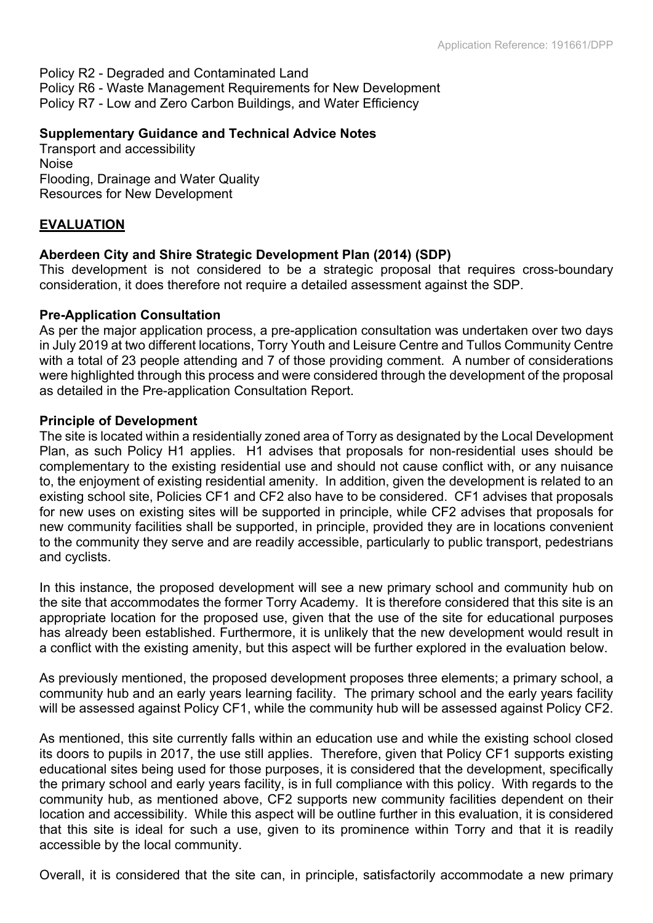Policy R2 - Degraded and Contaminated Land Policy R6 - Waste Management Requirements for New Development Policy R7 - Low and Zero Carbon Buildings, and Water Efficiency

#### **Supplementary Guidance and Technical Advice Notes**

Transport and accessibility Noise Flooding, Drainage and Water Quality Resources for New Development

## **EVALUATION**

## **Aberdeen City and Shire Strategic Development Plan (2014) (SDP)**

This development is not considered to be a strategic proposal that requires cross-boundary consideration, it does therefore not require a detailed assessment against the SDP.

#### **Pre-Application Consultation**

As per the major application process, a pre-application consultation was undertaken over two days in July 2019 at two different locations, Torry Youth and Leisure Centre and Tullos Community Centre with a total of 23 people attending and 7 of those providing comment. A number of considerations were highlighted through this process and were considered through the development of the proposal as detailed in the Pre-application Consultation Report.

#### **Principle of Development**

The site is located within a residentially zoned area of Torry as designated by the Local Development Plan, as such Policy H1 applies. H1 advises that proposals for non-residential uses should be complementary to the existing residential use and should not cause conflict with, or any nuisance to, the enjoyment of existing residential amenity. In addition, given the development is related to an existing school site, Policies CF1 and CF2 also have to be considered. CF1 advises that proposals for new uses on existing sites will be supported in principle, while CF2 advises that proposals for new community facilities shall be supported, in principle, provided they are in locations convenient to the community they serve and are readily accessible, particularly to public transport, pedestrians and cyclists.

In this instance, the proposed development will see a new primary school and community hub on the site that accommodates the former Torry Academy. It is therefore considered that this site is an appropriate location for the proposed use, given that the use of the site for educational purposes has already been established. Furthermore, it is unlikely that the new development would result in a conflict with the existing amenity, but this aspect will be further explored in the evaluation below.

As previously mentioned, the proposed development proposes three elements; a primary school, a community hub and an early years learning facility. The primary school and the early years facility will be assessed against Policy CF1, while the community hub will be assessed against Policy CF2.

As mentioned, this site currently falls within an education use and while the existing school closed its doors to pupils in 2017, the use still applies. Therefore, given that Policy CF1 supports existing educational sites being used for those purposes, it is considered that the development, specifically the primary school and early years facility, is in full compliance with this policy. With regards to the community hub, as mentioned above, CF2 supports new community facilities dependent on their location and accessibility. While this aspect will be outline further in this evaluation, it is considered that this site is ideal for such a use, given to its prominence within Torry and that it is readily accessible by the local community.

Overall, it is considered that the site can, in principle, satisfactorily accommodate a new primary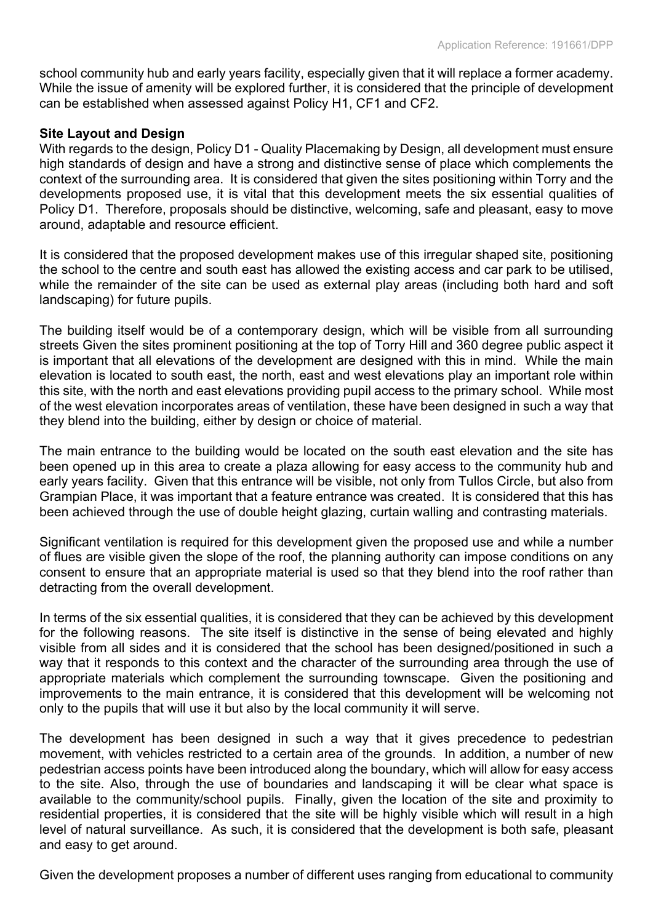school community hub and early years facility, especially given that it will replace a former academy. While the issue of amenity will be explored further, it is considered that the principle of development can be established when assessed against Policy H1, CF1 and CF2.

#### **Site Layout and Design**

With regards to the design, Policy D1 - Quality Placemaking by Design, all development must ensure high standards of design and have a strong and distinctive sense of place which complements the context of the surrounding area. It is considered that given the sites positioning within Torry and the developments proposed use, it is vital that this development meets the six essential qualities of Policy D1. Therefore, proposals should be distinctive, welcoming, safe and pleasant, easy to move around, adaptable and resource efficient.

It is considered that the proposed development makes use of this irregular shaped site, positioning the school to the centre and south east has allowed the existing access and car park to be utilised, while the remainder of the site can be used as external play areas (including both hard and soft landscaping) for future pupils.

The building itself would be of a contemporary design, which will be visible from all surrounding streets Given the sites prominent positioning at the top of Torry Hill and 360 degree public aspect it is important that all elevations of the development are designed with this in mind. While the main elevation is located to south east, the north, east and west elevations play an important role within this site, with the north and east elevations providing pupil access to the primary school. While most of the west elevation incorporates areas of ventilation, these have been designed in such a way that they blend into the building, either by design or choice of material.

The main entrance to the building would be located on the south east elevation and the site has been opened up in this area to create a plaza allowing for easy access to the community hub and early years facility. Given that this entrance will be visible, not only from Tullos Circle, but also from Grampian Place, it was important that a feature entrance was created. It is considered that this has been achieved through the use of double height glazing, curtain walling and contrasting materials.

Significant ventilation is required for this development given the proposed use and while a number of flues are visible given the slope of the roof, the planning authority can impose conditions on any consent to ensure that an appropriate material is used so that they blend into the roof rather than detracting from the overall development.

In terms of the six essential qualities, it is considered that they can be achieved by this development for the following reasons. The site itself is distinctive in the sense of being elevated and highly visible from all sides and it is considered that the school has been designed/positioned in such a way that it responds to this context and the character of the surrounding area through the use of appropriate materials which complement the surrounding townscape. Given the positioning and improvements to the main entrance, it is considered that this development will be welcoming not only to the pupils that will use it but also by the local community it will serve.

The development has been designed in such a way that it gives precedence to pedestrian movement, with vehicles restricted to a certain area of the grounds. In addition, a number of new pedestrian access points have been introduced along the boundary, which will allow for easy access to the site. Also, through the use of boundaries and landscaping it will be clear what space is available to the community/school pupils. Finally, given the location of the site and proximity to residential properties, it is considered that the site will be highly visible which will result in a high level of natural surveillance. As such, it is considered that the development is both safe, pleasant and easy to get around.

Given the development proposes a number of different uses ranging from educational to community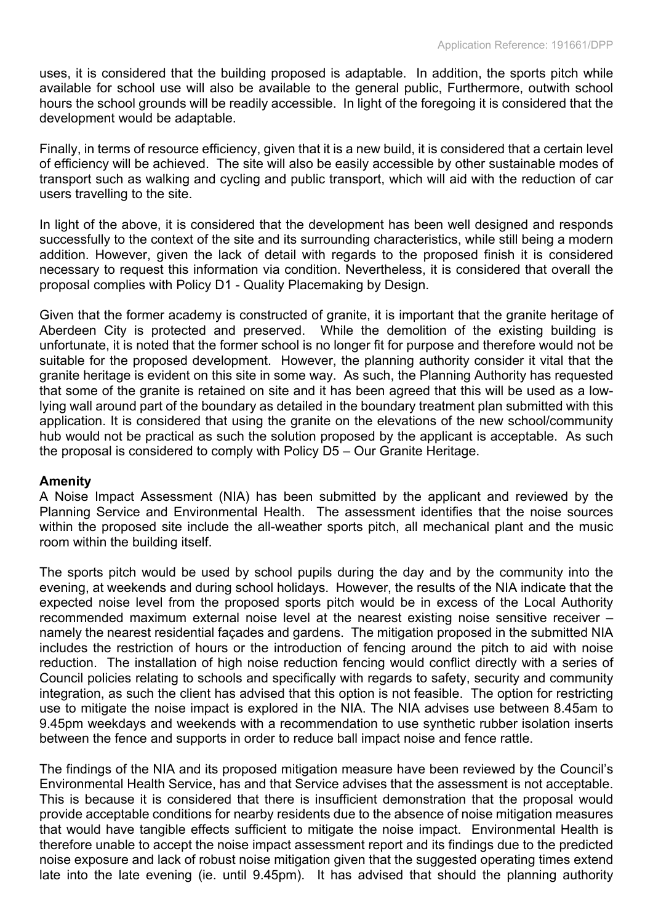uses, it is considered that the building proposed is adaptable. In addition, the sports pitch while available for school use will also be available to the general public, Furthermore, outwith school hours the school grounds will be readily accessible. In light of the foregoing it is considered that the development would be adaptable.

Finally, in terms of resource efficiency, given that it is a new build, it is considered that a certain level of efficiency will be achieved. The site will also be easily accessible by other sustainable modes of transport such as walking and cycling and public transport, which will aid with the reduction of car users travelling to the site.

In light of the above, it is considered that the development has been well designed and responds successfully to the context of the site and its surrounding characteristics, while still being a modern addition. However, given the lack of detail with regards to the proposed finish it is considered necessary to request this information via condition. Nevertheless, it is considered that overall the proposal complies with Policy D1 - Quality Placemaking by Design.

Given that the former academy is constructed of granite, it is important that the granite heritage of Aberdeen City is protected and preserved. While the demolition of the existing building is unfortunate, it is noted that the former school is no longer fit for purpose and therefore would not be suitable for the proposed development. However, the planning authority consider it vital that the granite heritage is evident on this site in some way. As such, the Planning Authority has requested that some of the granite is retained on site and it has been agreed that this will be used as a lowlying wall around part of the boundary as detailed in the boundary treatment plan submitted with this application. It is considered that using the granite on the elevations of the new school/community hub would not be practical as such the solution proposed by the applicant is acceptable. As such the proposal is considered to comply with Policy D5 – Our Granite Heritage.

## **Amenity**

A Noise Impact Assessment (NIA) has been submitted by the applicant and reviewed by the Planning Service and Environmental Health. The assessment identifies that the noise sources within the proposed site include the all-weather sports pitch, all mechanical plant and the music room within the building itself.

The sports pitch would be used by school pupils during the day and by the community into the evening, at weekends and during school holidays. However, the results of the NIA indicate that the expected noise level from the proposed sports pitch would be in excess of the Local Authority recommended maximum external noise level at the nearest existing noise sensitive receiver – namely the nearest residential façades and gardens. The mitigation proposed in the submitted NIA includes the restriction of hours or the introduction of fencing around the pitch to aid with noise reduction. The installation of high noise reduction fencing would conflict directly with a series of Council policies relating to schools and specifically with regards to safety, security and community integration, as such the client has advised that this option is not feasible. The option for restricting use to mitigate the noise impact is explored in the NIA. The NIA advises use between 8.45am to 9.45pm weekdays and weekends with a recommendation to use synthetic rubber isolation inserts between the fence and supports in order to reduce ball impact noise and fence rattle.

The findings of the NIA and its proposed mitigation measure have been reviewed by the Council's Environmental Health Service, has and that Service advises that the assessment is not acceptable. This is because it is considered that there is insufficient demonstration that the proposal would provide acceptable conditions for nearby residents due to the absence of noise mitigation measures that would have tangible effects sufficient to mitigate the noise impact. Environmental Health is therefore unable to accept the noise impact assessment report and its findings due to the predicted noise exposure and lack of robust noise mitigation given that the suggested operating times extend late into the late evening (ie. until 9.45pm). It has advised that should the planning authority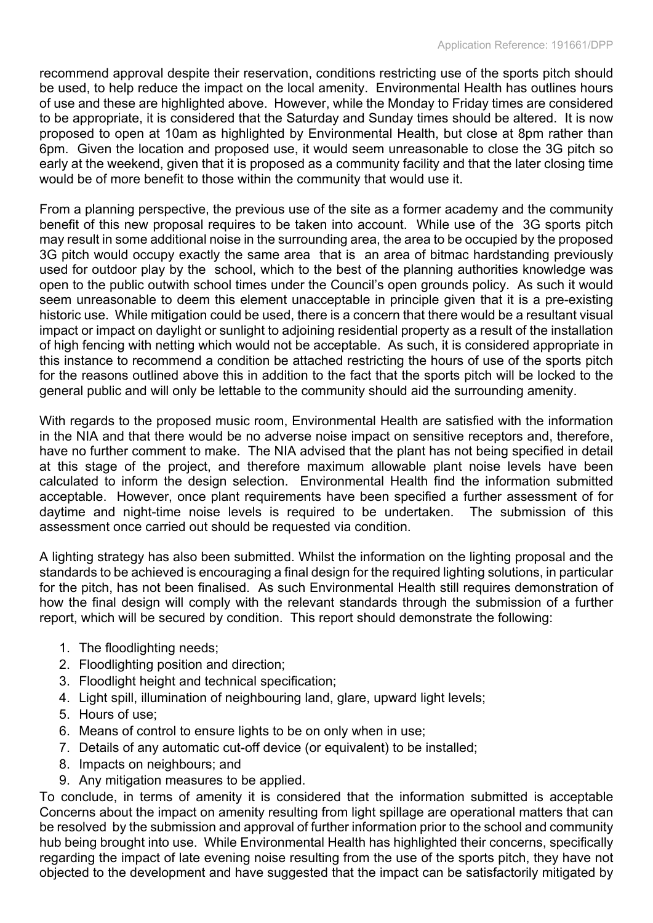recommend approval despite their reservation, conditions restricting use of the sports pitch should be used, to help reduce the impact on the local amenity. Environmental Health has outlines hours of use and these are highlighted above. However, while the Monday to Friday times are considered to be appropriate, it is considered that the Saturday and Sunday times should be altered. It is now proposed to open at 10am as highlighted by Environmental Health, but close at 8pm rather than 6pm. Given the location and proposed use, it would seem unreasonable to close the 3G pitch so early at the weekend, given that it is proposed as a community facility and that the later closing time would be of more benefit to those within the community that would use it.

From a planning perspective, the previous use of the site as a former academy and the community benefit of this new proposal requires to be taken into account. While use of the 3G sports pitch may result in some additional noise in the surrounding area, the area to be occupied by the proposed 3G pitch would occupy exactly the same area that is an area of bitmac hardstanding previously used for outdoor play by the school, which to the best of the planning authorities knowledge was open to the public outwith school times under the Council's open grounds policy. As such it would seem unreasonable to deem this element unacceptable in principle given that it is a pre-existing historic use. While mitigation could be used, there is a concern that there would be a resultant visual impact or impact on daylight or sunlight to adjoining residential property as a result of the installation of high fencing with netting which would not be acceptable. As such, it is considered appropriate in this instance to recommend a condition be attached restricting the hours of use of the sports pitch for the reasons outlined above this in addition to the fact that the sports pitch will be locked to the general public and will only be lettable to the community should aid the surrounding amenity.

With regards to the proposed music room, Environmental Health are satisfied with the information in the NIA and that there would be no adverse noise impact on sensitive receptors and, therefore, have no further comment to make. The NIA advised that the plant has not being specified in detail at this stage of the project, and therefore maximum allowable plant noise levels have been calculated to inform the design selection. Environmental Health find the information submitted acceptable. However, once plant requirements have been specified a further assessment of for daytime and night-time noise levels is required to be undertaken. The submission of this assessment once carried out should be requested via condition.

A lighting strategy has also been submitted. Whilst the information on the lighting proposal and the standards to be achieved is encouraging a final design for the required lighting solutions, in particular for the pitch, has not been finalised. As such Environmental Health still requires demonstration of how the final design will comply with the relevant standards through the submission of a further report, which will be secured by condition. This report should demonstrate the following:

- 1. The floodlighting needs;
- 2. Floodlighting position and direction;
- 3. Floodlight height and technical specification;
- 4. Light spill, illumination of neighbouring land, glare, upward light levels;
- 5. Hours of use;
- 6. Means of control to ensure lights to be on only when in use;
- 7. Details of any automatic cut-off device (or equivalent) to be installed;
- 8. Impacts on neighbours; and
- 9. Any mitigation measures to be applied.

To conclude, in terms of amenity it is considered that the information submitted is acceptable Concerns about the impact on amenity resulting from light spillage are operational matters that can be resolved by the submission and approval of further information prior to the school and community hub being brought into use. While Environmental Health has highlighted their concerns, specifically regarding the impact of late evening noise resulting from the use of the sports pitch, they have not objected to the development and have suggested that the impact can be satisfactorily mitigated by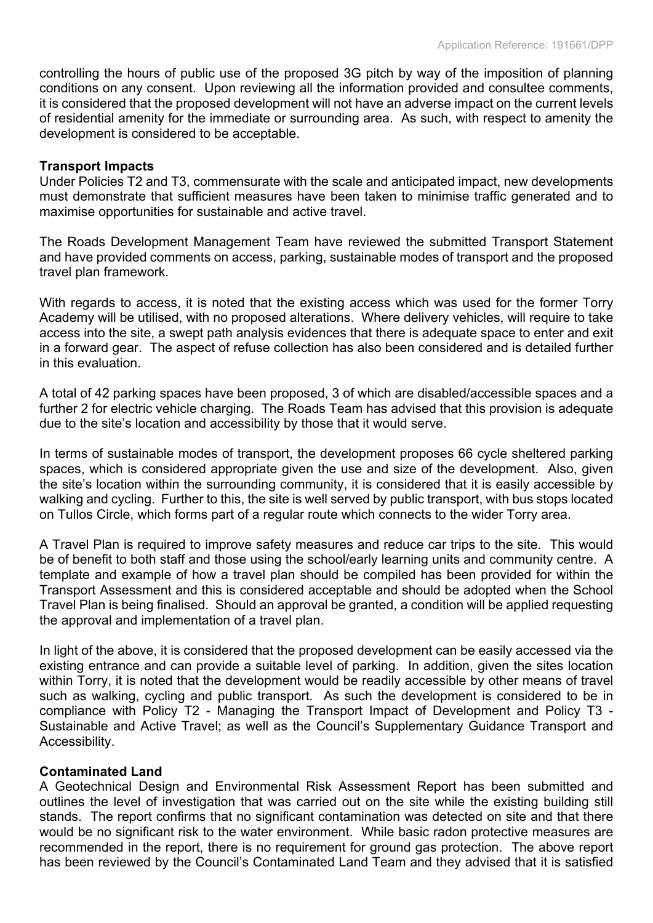controlling the hours of public use of the proposed 3G pitch by way of the imposition of planning conditions on any consent. Upon reviewing all the information provided and consultee comments, it is considered that the proposed development will not have an adverse impact on the current levels of residential amenity for the immediate or surrounding area. As such, with respect to amenity the development is considered to be acceptable.

#### **Transport Impacts**

Under Policies T2 and T3, commensurate with the scale and anticipated impact, new developments must demonstrate that sufficient measures have been taken to minimise traffic generated and to maximise opportunities for sustainable and active travel.

The Roads Development Management Team have reviewed the submitted Transport Statement and have provided comments on access, parking, sustainable modes of transport and the proposed travel plan framework.

With regards to access, it is noted that the existing access which was used for the former Torry Academy will be utilised, with no proposed alterations. Where delivery vehicles, will require to take access into the site, a swept path analysis evidences that there is adequate space to enter and exit in a forward gear. The aspect of refuse collection has also been considered and is detailed further in this evaluation.

A total of 42 parking spaces have been proposed, 3 of which are disabled/accessible spaces and a further 2 for electric vehicle charging. The Roads Team has advised that this provision is adequate due to the site's location and accessibility by those that it would serve.

In terms of sustainable modes of transport, the development proposes 66 cycle sheltered parking spaces, which is considered appropriate given the use and size of the development. Also, given the site's location within the surrounding community, it is considered that it is easily accessible by walking and cycling. Further to this, the site is well served by public transport, with bus stops located on Tullos Circle, which forms part of a regular route which connects to the wider Torry area.

A Travel Plan is required to improve safety measures and reduce car trips to the site. This would be of benefit to both staff and those using the school/early learning units and community centre. A template and example of how a travel plan should be compiled has been provided for within the Transport Assessment and this is considered acceptable and should be adopted when the School Travel Plan is being finalised. Should an approval be granted, a condition will be applied requesting the approval and implementation of a travel plan.

In light of the above, it is considered that the proposed development can be easily accessed via the existing entrance and can provide a suitable level of parking. In addition, given the sites location within Torry, it is noted that the development would be readily accessible by other means of travel such as walking, cycling and public transport. As such the development is considered to be in compliance with Policy T2 - Managing the Transport Impact of Development and Policy T3 - Sustainable and Active Travel; as well as the Council's Supplementary Guidance Transport and Accessibility.

## **Contaminated Land**

A Geotechnical Design and Environmental Risk Assessment Report has been submitted and outlines the level of investigation that was carried out on the site while the existing building still stands. The report confirms that no significant contamination was detected on site and that there would be no significant risk to the water environment. While basic radon protective measures are recommended in the report, there is no requirement for ground gas protection. The above report has been reviewed by the Council's Contaminated Land Team and they advised that it is satisfied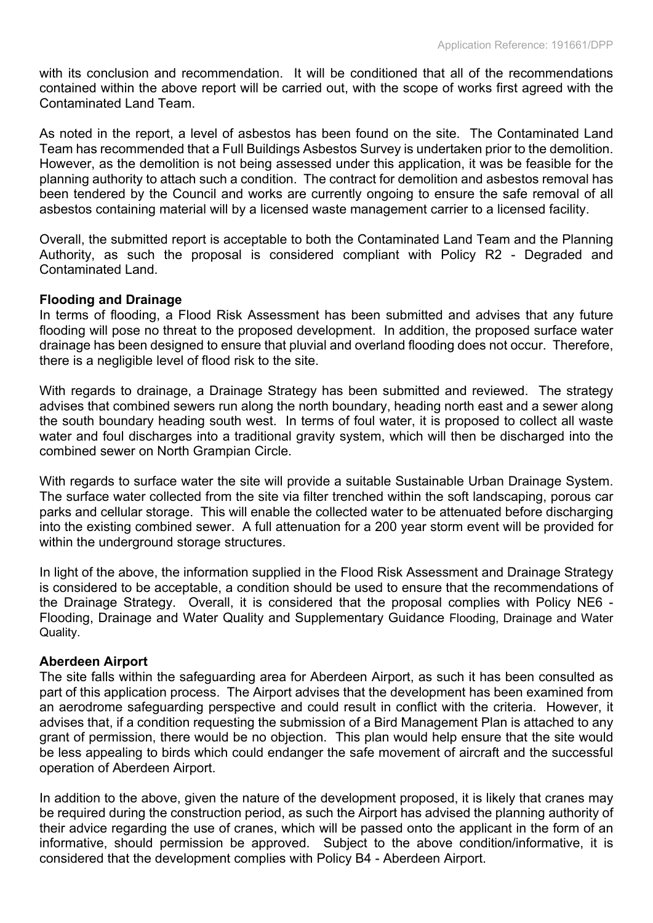with its conclusion and recommendation. It will be conditioned that all of the recommendations contained within the above report will be carried out, with the scope of works first agreed with the Contaminated Land Team.

As noted in the report, a level of asbestos has been found on the site. The Contaminated Land Team has recommended that a Full Buildings Asbestos Survey is undertaken prior to the demolition. However, as the demolition is not being assessed under this application, it was be feasible for the planning authority to attach such a condition. The contract for demolition and asbestos removal has been tendered by the Council and works are currently ongoing to ensure the safe removal of all asbestos containing material will by a licensed waste management carrier to a licensed facility.

Overall, the submitted report is acceptable to both the Contaminated Land Team and the Planning Authority, as such the proposal is considered compliant with Policy R2 - Degraded and Contaminated Land.

## **Flooding and Drainage**

In terms of flooding, a Flood Risk Assessment has been submitted and advises that any future flooding will pose no threat to the proposed development. In addition, the proposed surface water drainage has been designed to ensure that pluvial and overland flooding does not occur. Therefore, there is a negligible level of flood risk to the site.

With regards to drainage, a Drainage Strategy has been submitted and reviewed. The strategy advises that combined sewers run along the north boundary, heading north east and a sewer along the south boundary heading south west. In terms of foul water, it is proposed to collect all waste water and foul discharges into a traditional gravity system, which will then be discharged into the combined sewer on North Grampian Circle.

With regards to surface water the site will provide a suitable Sustainable Urban Drainage System. The surface water collected from the site via filter trenched within the soft landscaping, porous car parks and cellular storage. This will enable the collected water to be attenuated before discharging into the existing combined sewer. A full attenuation for a 200 year storm event will be provided for within the underground storage structures.

In light of the above, the information supplied in the Flood Risk Assessment and Drainage Strategy is considered to be acceptable, a condition should be used to ensure that the recommendations of the Drainage Strategy. Overall, it is considered that the proposal complies with Policy NE6 - Flooding, Drainage and Water Quality and Supplementary Guidance Flooding, Drainage and Water Quality.

## **Aberdeen Airport**

The site falls within the safeguarding area for Aberdeen Airport, as such it has been consulted as part of this application process. The Airport advises that the development has been examined from an aerodrome safeguarding perspective and could result in conflict with the criteria. However, it advises that, if a condition requesting the submission of a Bird Management Plan is attached to any grant of permission, there would be no objection. This plan would help ensure that the site would be less appealing to birds which could endanger the safe movement of aircraft and the successful operation of Aberdeen Airport.

In addition to the above, given the nature of the development proposed, it is likely that cranes may be required during the construction period, as such the Airport has advised the planning authority of their advice regarding the use of cranes, which will be passed onto the applicant in the form of an informative, should permission be approved. Subject to the above condition/informative, it is considered that the development complies with Policy B4 - Aberdeen Airport.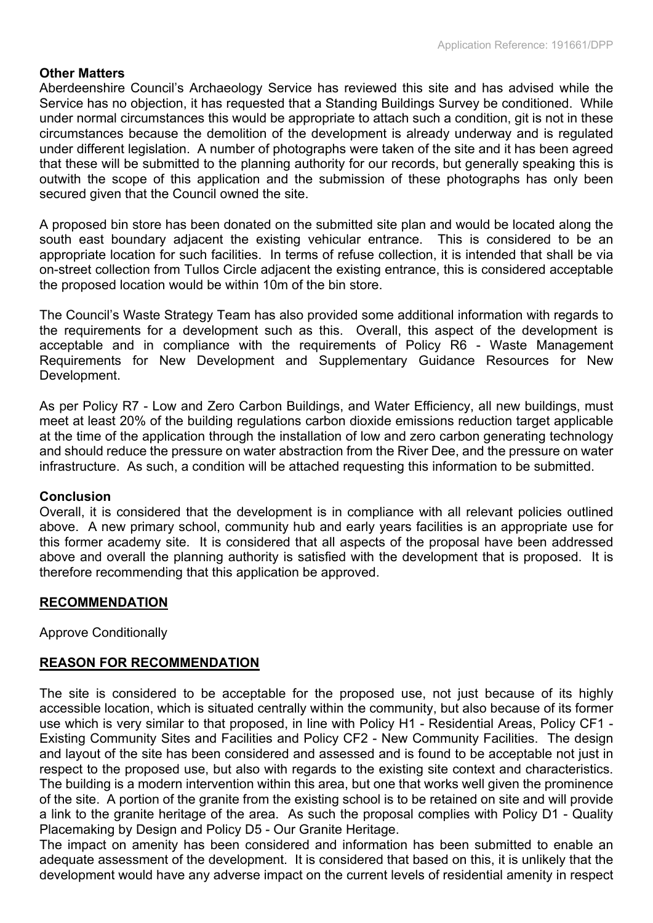## **Other Matters**

Aberdeenshire Council's Archaeology Service has reviewed this site and has advised while the Service has no objection, it has requested that a Standing Buildings Survey be conditioned. While under normal circumstances this would be appropriate to attach such a condition, git is not in these circumstances because the demolition of the development is already underway and is regulated under different legislation. A number of photographs were taken of the site and it has been agreed that these will be submitted to the planning authority for our records, but generally speaking this is outwith the scope of this application and the submission of these photographs has only been secured given that the Council owned the site.

A proposed bin store has been donated on the submitted site plan and would be located along the south east boundary adjacent the existing vehicular entrance. This is considered to be an appropriate location for such facilities. In terms of refuse collection, it is intended that shall be via on-street collection from Tullos Circle adjacent the existing entrance, this is considered acceptable the proposed location would be within 10m of the bin store.

The Council's Waste Strategy Team has also provided some additional information with regards to the requirements for a development such as this. Overall, this aspect of the development is acceptable and in compliance with the requirements of Policy R6 - Waste Management Requirements for New Development and Supplementary Guidance Resources for New Development.

As per Policy R7 - Low and Zero Carbon Buildings, and Water Efficiency, all new buildings, must meet at least 20% of the building regulations carbon dioxide emissions reduction target applicable at the time of the application through the installation of low and zero carbon generating technology and should reduce the pressure on water abstraction from the River Dee, and the pressure on water infrastructure. As such, a condition will be attached requesting this information to be submitted.

## **Conclusion**

Overall, it is considered that the development is in compliance with all relevant policies outlined above. A new primary school, community hub and early years facilities is an appropriate use for this former academy site. It is considered that all aspects of the proposal have been addressed above and overall the planning authority is satisfied with the development that is proposed. It is therefore recommending that this application be approved.

## **RECOMMENDATION**

Approve Conditionally

## **REASON FOR RECOMMENDATION**

The site is considered to be acceptable for the proposed use, not just because of its highly accessible location, which is situated centrally within the community, but also because of its former use which is very similar to that proposed, in line with Policy H1 - Residential Areas, Policy CF1 - Existing Community Sites and Facilities and Policy CF2 - New Community Facilities. The design and layout of the site has been considered and assessed and is found to be acceptable not just in respect to the proposed use, but also with regards to the existing site context and characteristics. The building is a modern intervention within this area, but one that works well given the prominence of the site. A portion of the granite from the existing school is to be retained on site and will provide a link to the granite heritage of the area. As such the proposal complies with Policy D1 - Quality Placemaking by Design and Policy D5 - Our Granite Heritage.

The impact on amenity has been considered and information has been submitted to enable an adequate assessment of the development. It is considered that based on this, it is unlikely that the development would have any adverse impact on the current levels of residential amenity in respect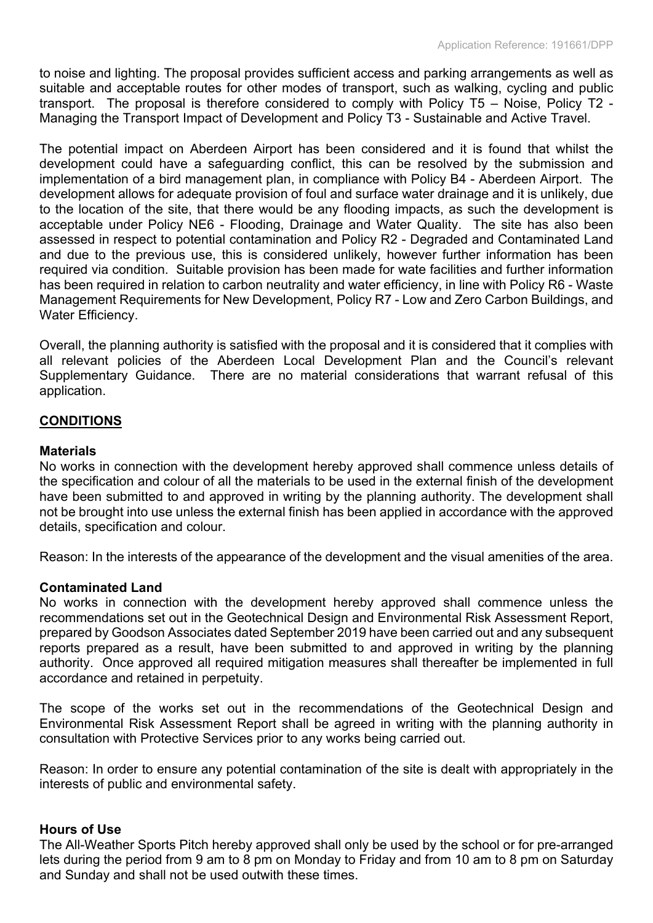to noise and lighting. The proposal provides sufficient access and parking arrangements as well as suitable and acceptable routes for other modes of transport, such as walking, cycling and public transport. The proposal is therefore considered to comply with Policy T5 – Noise, Policy T2 - Managing the Transport Impact of Development and Policy T3 - Sustainable and Active Travel.

The potential impact on Aberdeen Airport has been considered and it is found that whilst the development could have a safeguarding conflict, this can be resolved by the submission and implementation of a bird management plan, in compliance with Policy B4 - Aberdeen Airport. The development allows for adequate provision of foul and surface water drainage and it is unlikely, due to the location of the site, that there would be any flooding impacts, as such the development is acceptable under Policy NE6 - Flooding, Drainage and Water Quality. The site has also been assessed in respect to potential contamination and Policy R2 - Degraded and Contaminated Land and due to the previous use, this is considered unlikely, however further information has been required via condition. Suitable provision has been made for wate facilities and further information has been required in relation to carbon neutrality and water efficiency, in line with Policy R6 - Waste Management Requirements for New Development, Policy R7 - Low and Zero Carbon Buildings, and Water Efficiency.

Overall, the planning authority is satisfied with the proposal and it is considered that it complies with all relevant policies of the Aberdeen Local Development Plan and the Council's relevant Supplementary Guidance. There are no material considerations that warrant refusal of this application.

## **CONDITIONS**

#### **Materials**

No works in connection with the development hereby approved shall commence unless details of the specification and colour of all the materials to be used in the external finish of the development have been submitted to and approved in writing by the planning authority. The development shall not be brought into use unless the external finish has been applied in accordance with the approved details, specification and colour.

Reason: In the interests of the appearance of the development and the visual amenities of the area.

#### **Contaminated Land**

No works in connection with the development hereby approved shall commence unless the recommendations set out in the Geotechnical Design and Environmental Risk Assessment Report, prepared by Goodson Associates dated September 2019 have been carried out and any subsequent reports prepared as a result, have been submitted to and approved in writing by the planning authority. Once approved all required mitigation measures shall thereafter be implemented in full accordance and retained in perpetuity.

The scope of the works set out in the recommendations of the Geotechnical Design and Environmental Risk Assessment Report shall be agreed in writing with the planning authority in consultation with Protective Services prior to any works being carried out.

Reason: In order to ensure any potential contamination of the site is dealt with appropriately in the interests of public and environmental safety.

#### **Hours of Use**

The All-Weather Sports Pitch hereby approved shall only be used by the school or for pre-arranged lets during the period from 9 am to 8 pm on Monday to Friday and from 10 am to 8 pm on Saturday and Sunday and shall not be used outwith these times.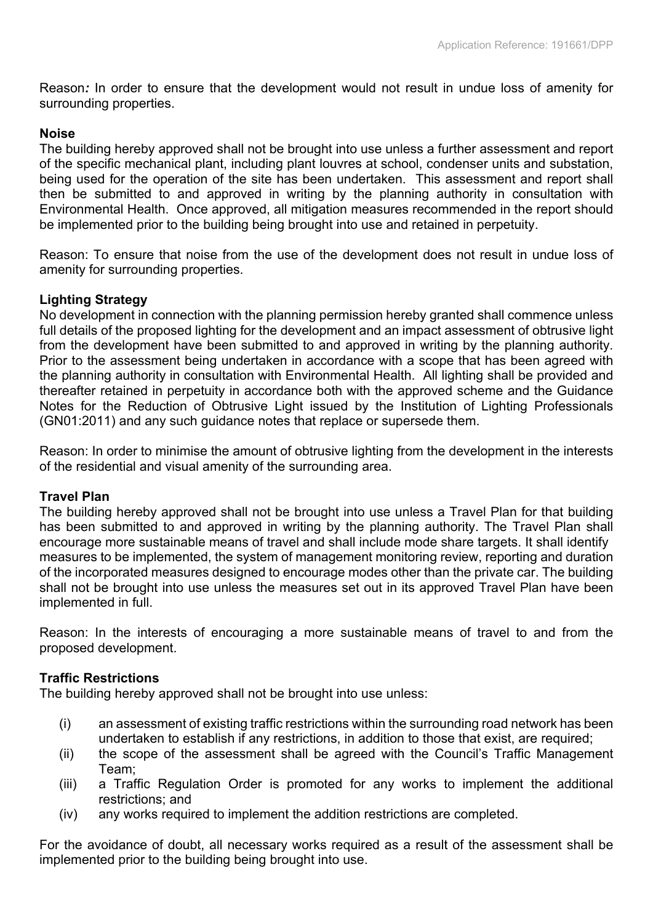Reason*:* In order to ensure that the development would not result in undue loss of amenity for surrounding properties.

## **Noise**

The building hereby approved shall not be brought into use unless a further assessment and report of the specific mechanical plant, including plant louvres at school, condenser units and substation, being used for the operation of the site has been undertaken. This assessment and report shall then be submitted to and approved in writing by the planning authority in consultation with Environmental Health. Once approved, all mitigation measures recommended in the report should be implemented prior to the building being brought into use and retained in perpetuity.

Reason: To ensure that noise from the use of the development does not result in undue loss of amenity for surrounding properties.

# **Lighting Strategy**

No development in connection with the planning permission hereby granted shall commence unless full details of the proposed lighting for the development and an impact assessment of obtrusive light from the development have been submitted to and approved in writing by the planning authority. Prior to the assessment being undertaken in accordance with a scope that has been agreed with the planning authority in consultation with Environmental Health. All lighting shall be provided and thereafter retained in perpetuity in accordance both with the approved scheme and the Guidance Notes for the Reduction of Obtrusive Light issued by the Institution of Lighting Professionals (GN01:2011) and any such guidance notes that replace or supersede them.

Reason: In order to minimise the amount of obtrusive lighting from the development in the interests of the residential and visual amenity of the surrounding area.

## **Travel Plan**

The building hereby approved shall not be brought into use unless a Travel Plan for that building has been submitted to and approved in writing by the planning authority. The Travel Plan shall encourage more sustainable means of travel and shall include mode share targets. It shall identify measures to be implemented, the system of management monitoring review, reporting and duration of the incorporated measures designed to encourage modes other than the private car. The building shall not be brought into use unless the measures set out in its approved Travel Plan have been implemented in full.

Reason: In the interests of encouraging a more sustainable means of travel to and from the proposed development.

## **Traffic Restrictions**

The building hereby approved shall not be brought into use unless:

- (i) an assessment of existing traffic restrictions within the surrounding road network has been undertaken to establish if any restrictions, in addition to those that exist, are required;
- (ii) the scope of the assessment shall be agreed with the Council's Traffic Management Team;
- (iii) a Traffic Regulation Order is promoted for any works to implement the additional restrictions; and
- (iv) any works required to implement the addition restrictions are completed.

For the avoidance of doubt, all necessary works required as a result of the assessment shall be implemented prior to the building being brought into use.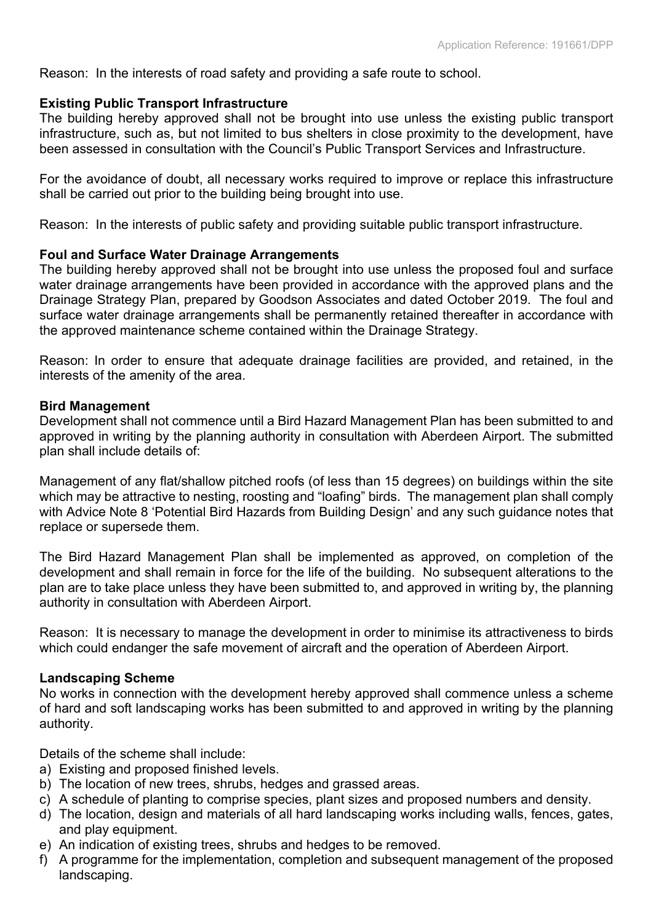Reason: In the interests of road safety and providing a safe route to school.

#### **Existing Public Transport Infrastructure**

The building hereby approved shall not be brought into use unless the existing public transport infrastructure, such as, but not limited to bus shelters in close proximity to the development, have been assessed in consultation with the Council's Public Transport Services and Infrastructure.

For the avoidance of doubt, all necessary works required to improve or replace this infrastructure shall be carried out prior to the building being brought into use.

Reason: In the interests of public safety and providing suitable public transport infrastructure.

#### **Foul and Surface Water Drainage Arrangements**

The building hereby approved shall not be brought into use unless the proposed foul and surface water drainage arrangements have been provided in accordance with the approved plans and the Drainage Strategy Plan, prepared by Goodson Associates and dated October 2019. The foul and surface water drainage arrangements shall be permanently retained thereafter in accordance with the approved maintenance scheme contained within the Drainage Strategy.

Reason: In order to ensure that adequate drainage facilities are provided, and retained, in the interests of the amenity of the area.

#### **Bird Management**

Development shall not commence until a Bird Hazard Management Plan has been submitted to and approved in writing by the planning authority in consultation with Aberdeen Airport. The submitted plan shall include details of:

Management of any flat/shallow pitched roofs (of less than 15 degrees) on buildings within the site which may be attractive to nesting, roosting and "loafing" birds. The management plan shall comply with Advice Note 8 'Potential Bird Hazards from Building Design' and any such guidance notes that replace or supersede them.

The Bird Hazard Management Plan shall be implemented as approved, on completion of the development and shall remain in force for the life of the building. No subsequent alterations to the plan are to take place unless they have been submitted to, and approved in writing by, the planning authority in consultation with Aberdeen Airport.

Reason: It is necessary to manage the development in order to minimise its attractiveness to birds which could endanger the safe movement of aircraft and the operation of Aberdeen Airport.

#### **Landscaping Scheme**

No works in connection with the development hereby approved shall commence unless a scheme of hard and soft landscaping works has been submitted to and approved in writing by the planning authority.

Details of the scheme shall include:

- a) Existing and proposed finished levels.
- b) The location of new trees, shrubs, hedges and grassed areas.
- c) A schedule of planting to comprise species, plant sizes and proposed numbers and density.
- d) The location, design and materials of all hard landscaping works including walls, fences, gates, and play equipment.
- e) An indication of existing trees, shrubs and hedges to be removed.
- f) A programme for the implementation, completion and subsequent management of the proposed landscaping.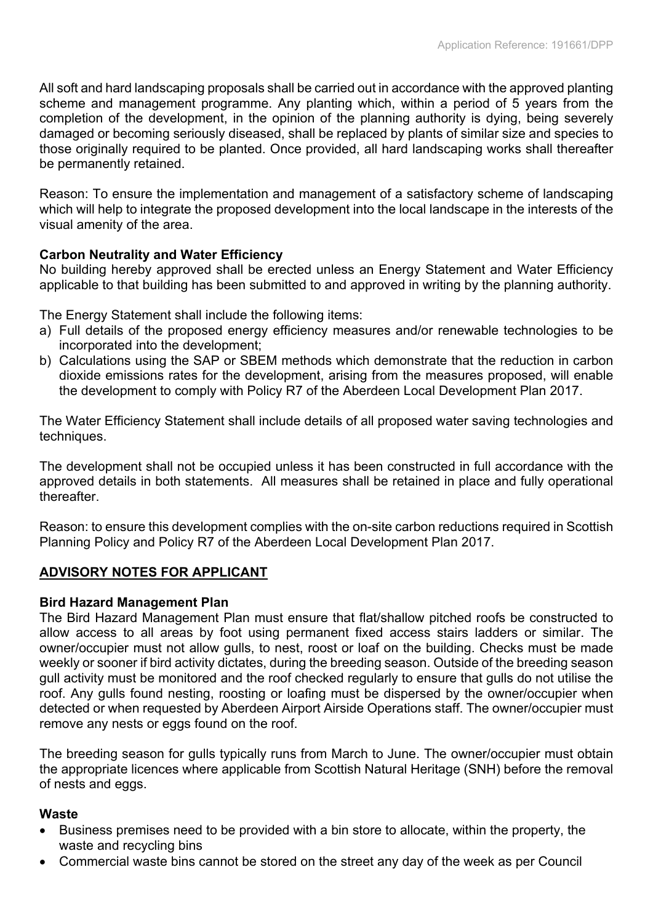All soft and hard landscaping proposals shall be carried out in accordance with the approved planting scheme and management programme. Any planting which, within a period of 5 years from the completion of the development, in the opinion of the planning authority is dying, being severely damaged or becoming seriously diseased, shall be replaced by plants of similar size and species to those originally required to be planted. Once provided, all hard landscaping works shall thereafter be permanently retained.

Reason: To ensure the implementation and management of a satisfactory scheme of landscaping which will help to integrate the proposed development into the local landscape in the interests of the visual amenity of the area.

# **Carbon Neutrality and Water Efficiency**

No building hereby approved shall be erected unless an Energy Statement and Water Efficiency applicable to that building has been submitted to and approved in writing by the planning authority.

The Energy Statement shall include the following items:

- a) Full details of the proposed energy efficiency measures and/or renewable technologies to be incorporated into the development;
- b) Calculations using the SAP or SBEM methods which demonstrate that the reduction in carbon dioxide emissions rates for the development, arising from the measures proposed, will enable the development to comply with Policy R7 of the Aberdeen Local Development Plan 2017.

The Water Efficiency Statement shall include details of all proposed water saving technologies and techniques.

The development shall not be occupied unless it has been constructed in full accordance with the approved details in both statements. All measures shall be retained in place and fully operational thereafter.

Reason: to ensure this development complies with the on-site carbon reductions required in Scottish Planning Policy and Policy R7 of the Aberdeen Local Development Plan 2017.

# **ADVISORY NOTES FOR APPLICANT**

# **Bird Hazard Management Plan**

The Bird Hazard Management Plan must ensure that flat/shallow pitched roofs be constructed to allow access to all areas by foot using permanent fixed access stairs ladders or similar. The owner/occupier must not allow gulls, to nest, roost or loaf on the building. Checks must be made weekly or sooner if bird activity dictates, during the breeding season. Outside of the breeding season gull activity must be monitored and the roof checked regularly to ensure that gulls do not utilise the roof. Any gulls found nesting, roosting or loafing must be dispersed by the owner/occupier when detected or when requested by Aberdeen Airport Airside Operations staff. The owner/occupier must remove any nests or eggs found on the roof.

The breeding season for gulls typically runs from March to June. The owner/occupier must obtain the appropriate licences where applicable from Scottish Natural Heritage (SNH) before the removal of nests and eggs.

# **Waste**

- Business premises need to be provided with a bin store to allocate, within the property, the waste and recycling bins
- Commercial waste bins cannot be stored on the street any day of the week as per Council